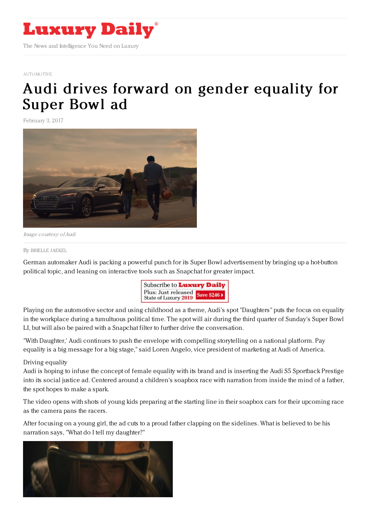

## [AUTOMOTIVE](https://www.luxurydaily.com/automotive)

## Audi drives forward on gender [equality](https://www.luxurydaily.com/audi-drives-forward-on-gender-equality-for-super-bowl-ad/) for Super Bowl ad

February 3, 2017



Image courtesy ofAudi

By [BRIELLE](file:///author/brielle-jaekel) JAEKEL

German automaker Audi is packing a powerful punch for its Super Bowl advertisement by bringing up a hot-button political topic, and leaning on interactive tools such as Snapchat for greater impact.



Playing on the automotive sector and using childhood as a theme, Audi's spot "Daughters" puts the focus on equality in the workplace during a tumultuous political time. The spot will air during the third quarter of Sunday's Super Bowl LI, but will also be paired with a Snapchat filter to further drive the conversation.

"With Daughter,' Audi continues to push the envelope with compelling storytelling on a national platform. Pay equality is a big message for a big stage," said Loren Angelo, vice president of marketing at Audi of America.

## Driving equality

Audi is hoping to infuse the concept of female equality with its brand and is inserting the Audi S5 Sportback Prestige into its social justice ad. Centered around a children's soapbox race with narration from inside the mind of a father, the spot hopes to make a spark.

The video opens with shots of young kids preparing at the starting line in their soapbox cars for their upcoming race as the camera pans the racers.

After focusing on a young girl, the ad cuts to a proud father clapping on the sidelines. What is believed to be his narration says, "What do I tell my daughter?"